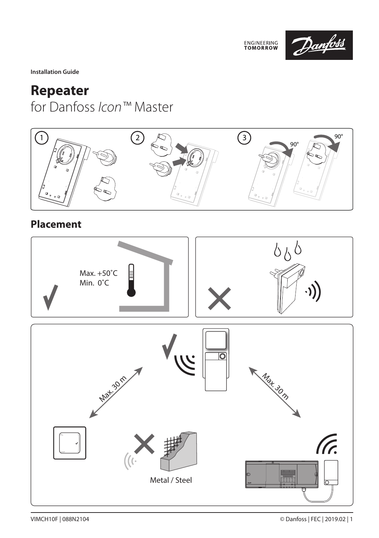

**Installation Guide**

## **Repeater**  for Danfoss *Icon™* Master



### **Placement**

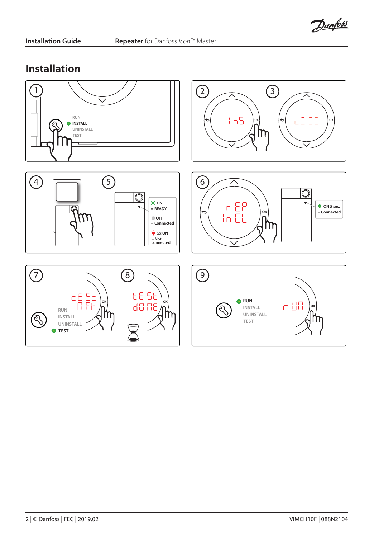Danfoss

#### **Installation**

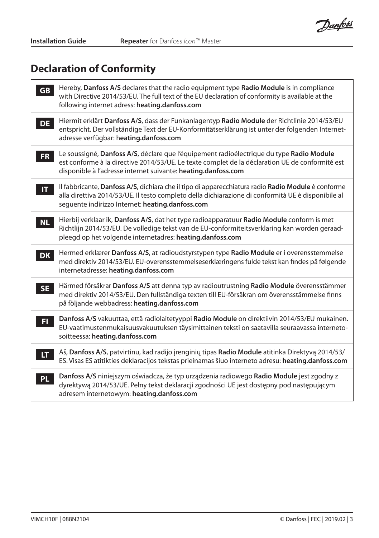Danfoss

# **Declaration of Conformity**

| <b>GB</b>    | Hereby, Danfoss A/S declares that the radio equipment type Radio Module is in compliance<br>with Directive 2014/53/EU. The full text of the EU declaration of conformity is available at the<br>following internet adress: heating.danfoss.com               |
|--------------|--------------------------------------------------------------------------------------------------------------------------------------------------------------------------------------------------------------------------------------------------------------|
| <b>DE</b>    | Hiermit erklärt Danfoss A/S, dass der Funkanlagentyp Radio Module der Richtlinie 2014/53/EU<br>entspricht. Der vollständige Text der EU-Konformitätserklärung ist unter der folgenden Internet-<br>adresse verfügbar: heating.danfoss.com                    |
| FR.          | Le soussigné, Danfoss A/S, déclare que l'équipement radioélectrique du type Radio Module<br>est conforme à la directive 2014/53/UE. Le texte complet de la déclaration UE de conformité est<br>disponible à l'adresse internet suivante: heating.danfoss.com |
| $\mathbf{H}$ | Il fabbricante, Danfoss A/S, dichiara che il tipo di apparecchiatura radio Radio Module è conforme<br>alla direttiva 2014/53/UE. Il testo completo della dichiarazione di conformità UE è disponibile al<br>sequente indirizzo Internet: heating.danfoss.com |
| <b>NL</b>    | Hierbij verklaar ik, Danfoss A/S, dat het type radioapparatuur Radio Module conform is met<br>Richtlijn 2014/53/EU. De volledige tekst van de EU-conformiteitsverklaring kan worden geraad-<br>pleegd op het volgende internetadres: heating.danfoss.com     |
| <b>DK</b>    | Hermed erklærer Danfoss A/S, at radioudstyrstypen type Radio Module er i overensstemmelse<br>med direktiv 2014/53/EU. EU-overensstemmelseserklæringens fulde tekst kan findes på følgende<br>internetadresse: heating.danfoss.com                            |
| <b>SE</b>    | Härmed försäkrar Danfoss A/S att denna typ av radioutrustning Radio Module överensstämmer<br>med direktiv 2014/53/EU. Den fullständiga texten till EU-försäkran om överensstämmelse finns<br>på följande webbadress: heating.danfoss.com                     |
| FI.          | Danfoss A/S vakuuttaa, että radiolaitetyyppi Radio Module on direktiivin 2014/53/EU mukainen.<br>EU-vaatimustenmukaisuusvakuutuksen täysimittainen teksti on saatavilla seuraavassa interneto-<br>soitteessa: heating.danfoss.com                            |
| LT.          | Aš, Danfoss A/S, patvirtinu, kad radijo įrenginių tipas Radio Module atitinka Direktyvą 2014/53/<br>ES. Visas ES atitikties deklaracijos tekstas prieinamas šiuo interneto adresu: heating.danfoss.com                                                       |
| PL           | Danfoss A/S niniejszym oświadcza, że typ urządzenia radiowego Radio Module jest zgodny z<br>dyrektywą 2014/53/UE. Pełny tekst deklaracji zgodności UE jest dostępny pod następującym<br>adresem internetowym: heating.danfoss.com                            |